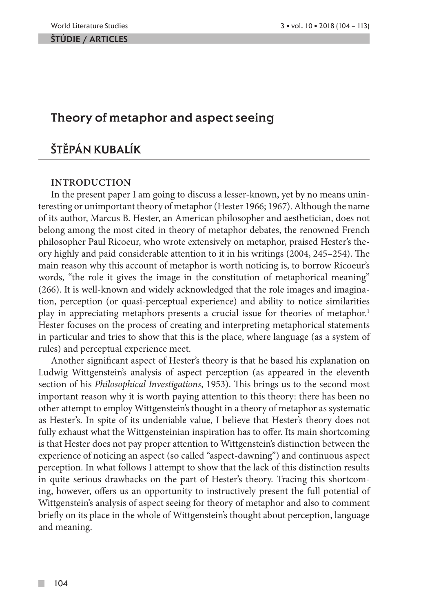#### ŠTÚDIE / ARTicles

## Theory of metaphor and aspect seeing

# Štěpán Kubalík

### **Introduction**

In the present paper I am going to discuss a lesser-known, yet by no means uninteresting or unimportant theory of metaphor (Hester 1966; 1967). Although the name of its author, Marcus B. Hester, an American philosopher and aesthetician, does not belong among the most cited in theory of metaphor debates, the renowned French philosopher Paul Ricoeur, who wrote extensively on metaphor, praised Hester's theory highly and paid considerable attention to it in his writings (2004, 245–254). The main reason why this account of metaphor is worth noticing is, to borrow Ricoeur's words, "the role it gives the image in the constitution of metaphorical meaning" (266). It is well-known and widely acknowledged that the role images and imagination, perception (or quasi-perceptual experience) and ability to notice similarities play in appreciating metaphors presents a crucial issue for theories of metaphor.<sup>1</sup> Hester focuses on the process of creating and interpreting metaphorical statements in particular and tries to show that this is the place, where language (as a system of rules) and perceptual experience meet.

Another significant aspect of Hester's theory is that he based his explanation on Ludwig Wittgenstein's analysis of aspect perception (as appeared in the eleventh section of his *Philosophical Investigations*, 1953). This brings us to the second most important reason why it is worth paying attention to this theory: there has been no other attempt to employ Wittgenstein's thought in a theory of metaphor as systematic as Hester's. In spite of its undeniable value, I believe that Hester's theory does not fully exhaust what the Wittgensteinian inspiration has to offer. Its main shortcoming is that Hester does not pay proper attention to Wittgenstein's distinction between the experience of noticing an aspect (so called "aspect-dawning") and continuous aspect perception. In what follows I attempt to show that the lack of this distinction results in quite serious drawbacks on the part of Hester's theory. Tracing this shortcoming, however, offers us an opportunity to instructively present the full potential of Wittgenstein's analysis of aspect seeing for theory of metaphor and also to comment briefly on its place in the whole of Wittgenstein's thought about perception, language and meaning.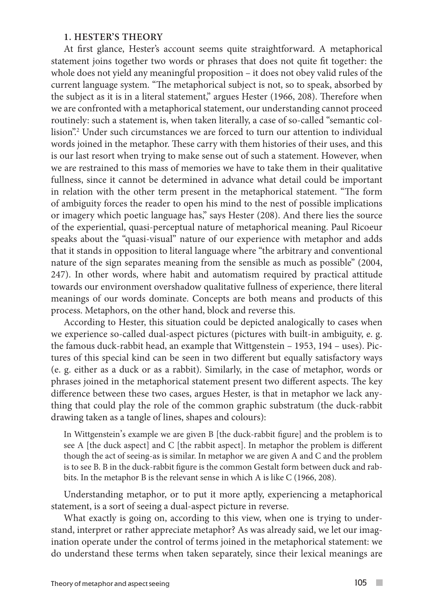#### **1. Hester's theory**

At first glance, Hester's account seems quite straightforward. A metaphorical statement joins together two words or phrases that does not quite fit together: the whole does not yield any meaningful proposition – it does not obey valid rules of the current language system. "The metaphorical subject is not, so to speak, absorbed by the subject as it is in a literal statement," argues Hester (1966, 208). Therefore when we are confronted with a metaphorical statement, our understanding cannot proceed routinely: such a statement is, when taken literally, a case of so-called "semantic collision".2 Under such circumstances we are forced to turn our attention to individual words joined in the metaphor. These carry with them histories of their uses, and this is our last resort when trying to make sense out of such a statement. However, when we are restrained to this mass of memories we have to take them in their qualitative fullness, since it cannot be determined in advance what detail could be important in relation with the other term present in the metaphorical statement. "The form of ambiguity forces the reader to open his mind to the nest of possible implications or imagery which poetic language has," says Hester (208). And there lies the source of the experiential, quasi-perceptual nature of metaphorical meaning. Paul Ricoeur speaks about the "quasi-visual" nature of our experience with metaphor and adds that it stands in opposition to literal language where "the arbitrary and conventional nature of the sign separates meaning from the sensible as much as possible" (2004, 247). In other words, where habit and automatism required by practical attitude towards our environment overshadow qualitative fullness of experience, there literal meanings of our words dominate. Concepts are both means and products of this process. Metaphors, on the other hand, block and reverse this.

According to Hester, this situation could be depicted analogically to cases when we experience so-called dual-aspect pictures (pictures with built-in ambiguity, e. g. the famous duck-rabbit head, an example that Wittgenstein – 1953, 194 – uses). Pictures of this special kind can be seen in two different but equally satisfactory ways (e. g. either as a duck or as a rabbit). Similarly, in the case of metaphor, words or phrases joined in the metaphorical statement present two different aspects. The key difference between these two cases, argues Hester, is that in metaphor we lack anything that could play the role of the common graphic substratum (the duck-rabbit drawing taken as a tangle of lines, shapes and colours):

In Wittgenstein's example we are given B [the duck-rabbit figure] and the problem is to see A [the duck aspect] and C [the rabbit aspect]. In metaphor the problem is different though the act of seeing-as is similar. In metaphor we are given A and C and the problem is to see B. B in the duck-rabbit figure is the common Gestalt form between duck and rabbits. In the metaphor B is the relevant sense in which A is like C (1966, 208).

Understanding metaphor, or to put it more aptly, experiencing a metaphorical statement, is a sort of seeing a dual-aspect picture in reverse.

What exactly is going on, according to this view, when one is trying to understand, interpret or rather appreciate metaphor? As was already said, we let our imagination operate under the control of terms joined in the metaphorical statement: we do understand these terms when taken separately, since their lexical meanings are

 $\sim$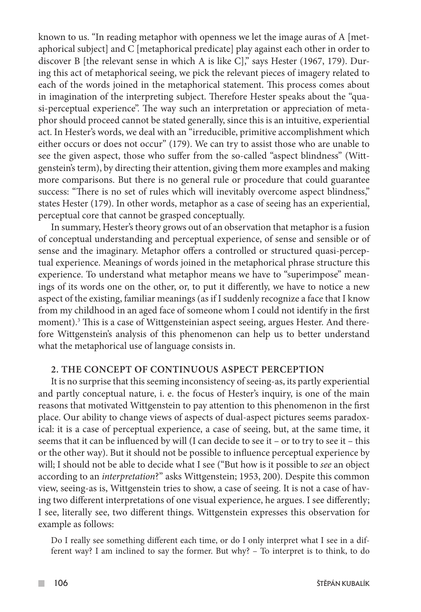known to us. "In reading metaphor with openness we let the image auras of A [metaphorical subject] and C [metaphorical predicate] play against each other in order to discover B [the relevant sense in which A is like C]," says Hester (1967, 179). During this act of metaphorical seeing, we pick the relevant pieces of imagery related to each of the words joined in the metaphorical statement. This process comes about in imagination of the interpreting subject. Therefore Hester speaks about the "quasi-perceptual experience". The way such an interpretation or appreciation of metaphor should proceed cannot be stated generally, since this is an intuitive, experiential act. In Hester's words, we deal with an "irreducible, primitive accomplishment which either occurs or does not occur" (179). We can try to assist those who are unable to see the given aspect, those who suffer from the so-called "aspect blindness" (Wittgenstein's term), by directing their attention, giving them more examples and making more comparisons. But there is no general rule or procedure that could guarantee success: "There is no set of rules which will inevitably overcome aspect blindness," states Hester (179). In other words, metaphor as a case of seeing has an experiential, perceptual core that cannot be grasped conceptually.

In summary, Hester's theory grows out of an observation that metaphor is a fusion of conceptual understanding and perceptual experience, of sense and sensible or of sense and the imaginary. Metaphor offers a controlled or structured quasi-perceptual experience. Meanings of words joined in the metaphorical phrase structure this experience. To understand what metaphor means we have to "superimpose" meanings of its words one on the other, or, to put it differently, we have to notice a new aspect of the existing, familiar meanings (as if I suddenly recognize a face that I know from my childhood in an aged face of someone whom I could not identify in the first moment).<sup>3</sup> This is a case of Wittgensteinian aspect seeing, argues Hester. And therefore Wittgenstein's analysis of this phenomenon can help us to better understand what the metaphorical use of language consists in.

## **2. The concept of continuous aspect perception**

It is no surprise that this seeming inconsistency of seeing-as, its partly experiential and partly conceptual nature, i. e. the focus of Hester's inquiry, is one of the main reasons that motivated Wittgenstein to pay attention to this phenomenon in the first place. Our ability to change views of aspects of dual-aspect pictures seems paradoxical: it is a case of perceptual experience, a case of seeing, but, at the same time, it seems that it can be influenced by will (I can decide to see it – or to try to see it – this or the other way). But it should not be possible to influence perceptual experience by will; I should not be able to decide what I see ("But how is it possible to *see* an object according to an *interpretation*?" asks Wittgenstein; 1953, 200). Despite this common view, seeing-as is, Wittgenstein tries to show, a case of seeing. It is not a case of having two different interpretations of one visual experience, he argues. I see differently; I see, literally see, two different things. Wittgenstein expresses this observation for example as follows:

Do I really see something different each time, or do I only interpret what I see in a different way? I am inclined to say the former. But why? – To interpret is to think, to do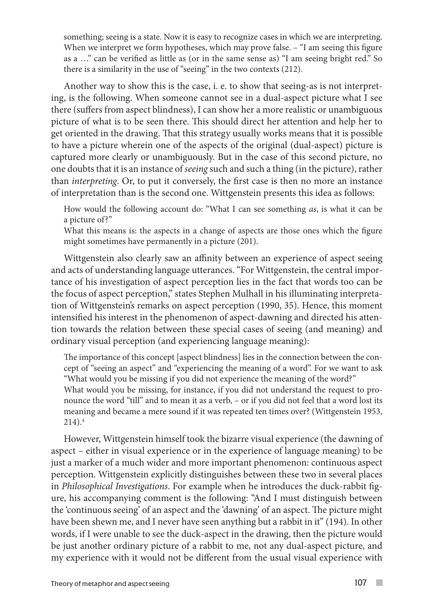something; seeing is a state. Now it is easy to recognize cases in which we are interpreting. When we interpret we form hypotheses, which may prove false.  $-$  "I am seeing this figure as a …" can be verified as little as (or in the same sense as) "I am seeing bright red." So there is a similarity in the use of "seeing" in the two contexts (212).

Another way to show this is the case, i. e. to show that seeing-as is not interpreting, is the following. When someone cannot see in a dual-aspect picture what I see there (suffers from aspect blindness), I can show her a more realistic or unambiguous picture of what is to be seen there. This should direct her attention and help her to get oriented in the drawing. That this strategy usually works means that it is possible to have a picture wherein one of the aspects of the original (dual-aspect) picture is captured more clearly or unambiguously. But in the case of this second picture, no one doubts that it is an instance of *seeing* such and such a thing (in the picture), rather than *interpreting*. Or, to put it conversely, the first case is then no more an instance of interpretation than is the second one. Wittgenstein presents this idea as follows:

How would the following account do: "What I can see something *as*, is what it can be a picture of?"

What this means is: the aspects in a change of aspects are those ones which the figure might sometimes have permanently in a picture (201).

Wittgenstein also clearly saw an affinity between an experience of aspect seeing and acts of understanding language utterances. "For Wittgenstein, the central importance of his investigation of aspect perception lies in the fact that words too can be the focus of aspect perception," states Stephen Mulhall in his illuminating interpretation of Wittgenstein's remarks on aspect perception (1990, 35). Hence, this moment intensified his interest in the phenomenon of aspect-dawning and directed his attention towards the relation between these special cases of seeing (and meaning) and ordinary visual perception (and experiencing language meaning):

The importance of this concept [aspect blindness] lies in the connection between the concept of "seeing an aspect" and "experiencing the meaning of a word". For we want to ask "What would you be missing if you did not experience the meaning of the word?"

What would you be missing, for instance, if you did not understand the request to pronounce the word "till" and to mean it as a verb, – or if you did not feel that a word lost its meaning and became a mere sound if it was repeated ten times over? (Wittgenstein 1953,  $214$ ).<sup>4</sup>

However, Wittgenstein himself took the bizarre visual experience (the dawning of aspect – either in visual experience or in the experience of language meaning) to be just a marker of a much wider and more important phenomenon: continuous aspect perception. Wittgenstein explicitly distinguishes between these two in several places in *Philosophical Investigations*. For example when he introduces the duck-rabbit figure, his accompanying comment is the following: "And I must distinguish between the 'continuous seeing' of an aspect and the 'dawning' of an aspect. The picture might have been shewn me, and I never have seen anything but a rabbit in it" (194). In other words, if I were unable to see the duck-aspect in the drawing, then the picture would be just another ordinary picture of a rabbit to me, not any dual-aspect picture, and my experience with it would not be different from the usual visual experience with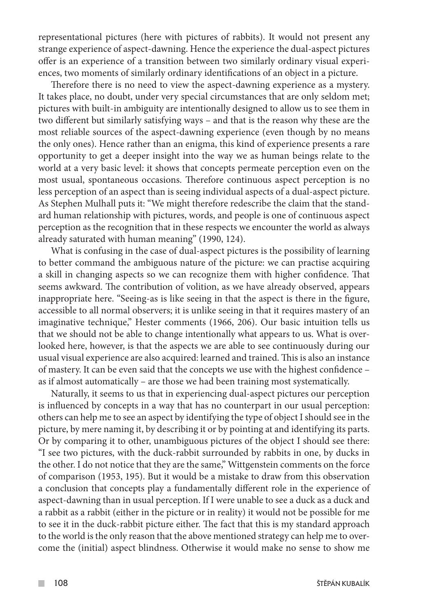representational pictures (here with pictures of rabbits). It would not present any strange experience of aspect-dawning. Hence the experience the dual-aspect pictures offer is an experience of a transition between two similarly ordinary visual experiences, two moments of similarly ordinary identifications of an object in a picture.

Therefore there is no need to view the aspect-dawning experience as a mystery. It takes place, no doubt, under very special circumstances that are only seldom met; pictures with built-in ambiguity are intentionally designed to allow us to see them in two different but similarly satisfying ways – and that is the reason why these are the most reliable sources of the aspect-dawning experience (even though by no means the only ones). Hence rather than an enigma, this kind of experience presents a rare opportunity to get a deeper insight into the way we as human beings relate to the world at a very basic level: it shows that concepts permeate perception even on the most usual, spontaneous occasions. Therefore continuous aspect perception is no less perception of an aspect than is seeing individual aspects of a dual-aspect picture. As Stephen Mulhall puts it: "We might therefore redescribe the claim that the standard human relationship with pictures, words, and people is one of continuous aspect perception as the recognition that in these respects we encounter the world as always already saturated with human meaning" (1990, 124).

What is confusing in the case of dual-aspect pictures is the possibility of learning to better command the ambiguous nature of the picture: we can practise acquiring a skill in changing aspects so we can recognize them with higher confidence. That seems awkward. The contribution of volition, as we have already observed, appears inappropriate here. "Seeing-as is like seeing in that the aspect is there in the figure, accessible to all normal observers; it is unlike seeing in that it requires mastery of an imaginative technique," Hester comments (1966, 206). Our basic intuition tells us that we should not be able to change intentionally what appears to us. What is overlooked here, however, is that the aspects we are able to see continuously during our usual visual experience are also acquired: learned and trained. This is also an instance of mastery. It can be even said that the concepts we use with the highest confidence – as if almost automatically – are those we had been training most systematically.

Naturally, it seems to us that in experiencing dual-aspect pictures our perception is influenced by concepts in a way that has no counterpart in our usual perception: others can help me to see an aspect by identifying the type of object I should see in the picture, by mere naming it, by describing it or by pointing at and identifying its parts. Or by comparing it to other, unambiguous pictures of the object I should see there: "I see two pictures, with the duck-rabbit surrounded by rabbits in one, by ducks in the other. I do not notice that they are the same," Wittgenstein comments on the force of comparison (1953, 195). But it would be a mistake to draw from this observation a conclusion that concepts play a fundamentally different role in the experience of aspect-dawning than in usual perception. If I were unable to see a duck as a duck and a rabbit as a rabbit (either in the picture or in reality) it would not be possible for me to see it in the duck-rabbit picture either. The fact that this is my standard approach to the world is the only reason that the above mentioned strategy can help me to overcome the (initial) aspect blindness. Otherwise it would make no sense to show me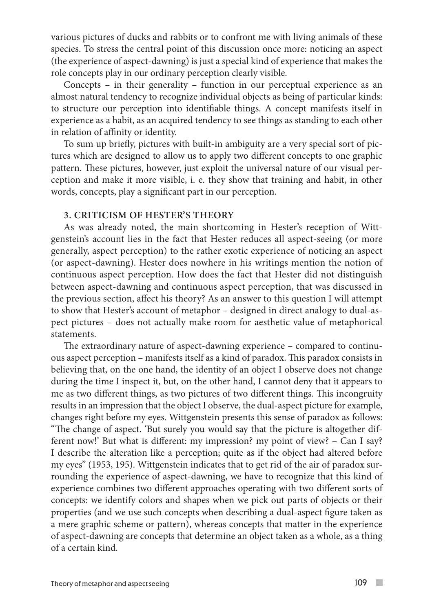various pictures of ducks and rabbits or to confront me with living animals of these species. To stress the central point of this discussion once more: noticing an aspect (the experience of aspect-dawning) is just a special kind of experience that makes the role concepts play in our ordinary perception clearly visible.

Concepts – in their generality – function in our perceptual experience as an almost natural tendency to recognize individual objects as being of particular kinds: to structure our perception into identifiable things. A concept manifests itself in experience as a habit, as an acquired tendency to see things as standing to each other in relation of affinity or identity.

To sum up briefly, pictures with built-in ambiguity are a very special sort of pictures which are designed to allow us to apply two different concepts to one graphic pattern. These pictures, however, just exploit the universal nature of our visual perception and make it more visible, i. e. they show that training and habit, in other words, concepts, play a significant part in our perception.

### **3. Criticism of Hester's theory**

As was already noted, the main shortcoming in Hester's reception of Wittgenstein's account lies in the fact that Hester reduces all aspect-seeing (or more generally, aspect perception) to the rather exotic experience of noticing an aspect (or aspect-dawning). Hester does nowhere in his writings mention the notion of continuous aspect perception. How does the fact that Hester did not distinguish between aspect-dawning and continuous aspect perception, that was discussed in the previous section, affect his theory? As an answer to this question I will attempt to show that Hester's account of metaphor – designed in direct analogy to dual-aspect pictures – does not actually make room for aesthetic value of metaphorical statements.

The extraordinary nature of aspect-dawning experience – compared to continuous aspect perception – manifests itself as a kind of paradox. This paradox consists in believing that, on the one hand, the identity of an object I observe does not change during the time I inspect it, but, on the other hand, I cannot deny that it appears to me as two different things, as two pictures of two different things. This incongruity results in an impression that the object I observe, the dual-aspect picture for example, changes right before my eyes. Wittgenstein presents this sense of paradox as follows: "The change of aspect. 'But surely you would say that the picture is altogether different now!' But what is different: my impression? my point of view? – Can I say? I describe the alteration like a perception; quite as if the object had altered before my eyes" (1953, 195). Wittgenstein indicates that to get rid of the air of paradox surrounding the experience of aspect-dawning, we have to recognize that this kind of experience combines two different approaches operating with two different sorts of concepts: we identify colors and shapes when we pick out parts of objects or their properties (and we use such concepts when describing a dual-aspect figure taken as a mere graphic scheme or pattern), whereas concepts that matter in the experience of aspect-dawning are concepts that determine an object taken as a whole, as a thing of a certain kind.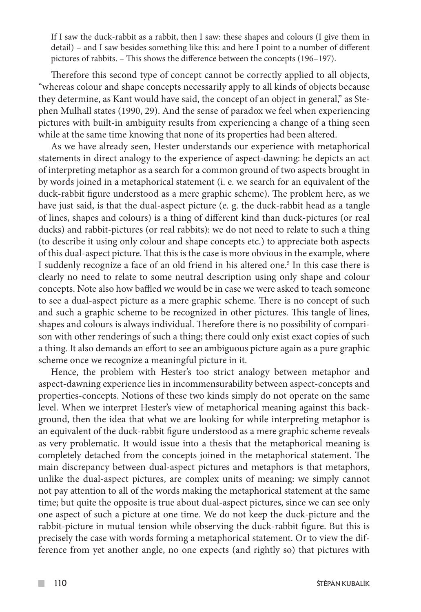If I saw the duck-rabbit as a rabbit, then I saw: these shapes and colours (I give them in detail) – and I saw besides something like this: and here I point to a number of different pictures of rabbits. – This shows the difference between the concepts (196–197).

Therefore this second type of concept cannot be correctly applied to all objects, "whereas colour and shape concepts necessarily apply to all kinds of objects because they determine, as Kant would have said, the concept of an object in general," as Stephen Mulhall states (1990, 29). And the sense of paradox we feel when experiencing pictures with built-in ambiguity results from experiencing a change of a thing seen while at the same time knowing that none of its properties had been altered.

As we have already seen, Hester understands our experience with metaphorical statements in direct analogy to the experience of aspect-dawning: he depicts an act of interpreting metaphor as a search for a common ground of two aspects brought in by words joined in a metaphorical statement (i. e. we search for an equivalent of the duck-rabbit figure understood as a mere graphic scheme). The problem here, as we have just said, is that the dual-aspect picture (e. g. the duck-rabbit head as a tangle of lines, shapes and colours) is a thing of different kind than duck-pictures (or real ducks) and rabbit-pictures (or real rabbits): we do not need to relate to such a thing (to describe it using only colour and shape concepts etc.) to appreciate both aspects of this dual-aspect picture. That this is the case is more obvious in the example, where I suddenly recognize a face of an old friend in his altered one.<sup>5</sup> In this case there is clearly no need to relate to some neutral description using only shape and colour concepts. Note also how baffled we would be in case we were asked to teach someone to see a dual-aspect picture as a mere graphic scheme. There is no concept of such and such a graphic scheme to be recognized in other pictures. This tangle of lines, shapes and colours is always individual. Therefore there is no possibility of comparison with other renderings of such a thing; there could only exist exact copies of such a thing. It also demands an effort to see an ambiguous picture again as a pure graphic scheme once we recognize a meaningful picture in it.

Hence, the problem with Hester's too strict analogy between metaphor and aspect-dawning experience lies in incommensurability between aspect-concepts and properties-concepts. Notions of these two kinds simply do not operate on the same level. When we interpret Hester's view of metaphorical meaning against this background, then the idea that what we are looking for while interpreting metaphor is an equivalent of the duck-rabbit figure understood as a mere graphic scheme reveals as very problematic. It would issue into a thesis that the metaphorical meaning is completely detached from the concepts joined in the metaphorical statement. The main discrepancy between dual-aspect pictures and metaphors is that metaphors, unlike the dual-aspect pictures, are complex units of meaning: we simply cannot not pay attention to all of the words making the metaphorical statement at the same time; but quite the opposite is true about dual-aspect pictures, since we can see only one aspect of such a picture at one time. We do not keep the duck-picture and the rabbit-picture in mutual tension while observing the duck-rabbit figure. But this is precisely the case with words forming a metaphorical statement. Or to view the difference from yet another angle, no one expects (and rightly so) that pictures with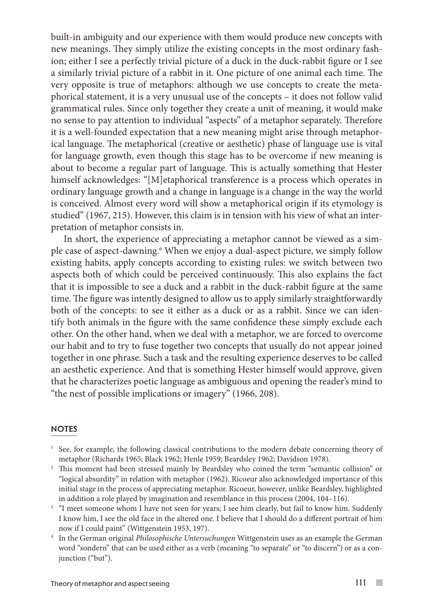built-in ambiguity and our experience with them would produce new concepts with new meanings. They simply utilize the existing concepts in the most ordinary fashion; either I see a perfectly trivial picture of a duck in the duck-rabbit figure or I see a similarly trivial picture of a rabbit in it. One picture of one animal each time. The very opposite is true of metaphors: although we use concepts to create the metaphorical statement, it is a very unusual use of the concepts – it does not follow valid grammatical rules. Since only together they create a unit of meaning, it would make no sense to pay attention to individual "aspects" of a metaphor separately. Therefore it is a well-founded expectation that a new meaning might arise through metaphorical language. The metaphorical (creative or aesthetic) phase of language use is vital for language growth, even though this stage has to be overcome if new meaning is about to become a regular part of language. This is actually something that Hester himself acknowledges: "[M]etaphorical transference is a process which operates in ordinary language growth and a change in language is a change in the way the world is conceived. Almost every word will show a metaphorical origin if its etymology is studied" (1967, 215). However, this claim is in tension with his view of what an interpretation of metaphor consists in.

In short, the experience of appreciating a metaphor cannot be viewed as a simple case of aspect-dawning.<sup>6</sup> When we enjoy a dual-aspect picture, we simply follow existing habits, apply concepts according to existing rules: we switch between two aspects both of which could be perceived continuously. This also explains the fact that it is impossible to see a duck and a rabbit in the duck-rabbit figure at the same time. The figure was intently designed to allow us to apply similarly straightforwardly both of the concepts: to see it either as a duck or as a rabbit. Since we can identify both animals in the figure with the same confidence these simply exclude each other. On the other hand, when we deal with a metaphor, we are forced to overcome our habit and to try to fuse together two concepts that usually do not appear joined together in one phrase. Such a task and the resulting experience deserves to be called an aesthetic experience. And that is something Hester himself would approve, given that he characterizes poetic language as ambiguous and opening the reader's mind to "the nest of possible implications or imagery" (1966, 208).

#### **NOTES**

- <sup>1</sup> See, for example, the following classical contributions to the modern debate concerning theory of
- metaphor (Richards 1965; Black 1962; Henle 1959; Beardsley 1962; Davidson 1978). 2 This moment had been stressed mainly by Beardsley who coined the term "semantic collision" or "logical absurdity" in relation with metaphor (1962). Ricoeur also acknowledged importance of this initial stage in the process of appreciating metaphor. Ricoeur, however, unlike Beardsley, highlighted
- in addition a role played by imagination and resemblance in this process (2004, 104–116).<br><sup>3</sup> "I meet someone whom I have not seen for years; I see him clearly, but fail to know him. Suddenly I know him, I see the old face in the altered one. I believe that I should do a different portrait of him now if I could paint" (Wittgenstein 1953, 197). 4 In the German original *Philosophische Untersuchungen* Wittgenstein uses as an example the German
- word "sondern" that can be used either as a verb (meaning "to separate" or "to discern") or as a conjunction ("but").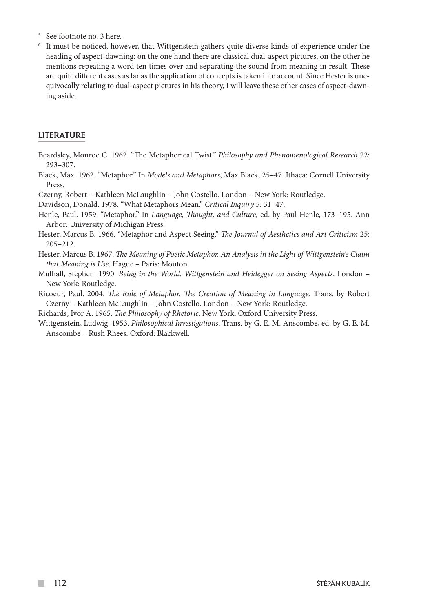- <sup>5</sup> See footnote no. 3 here.
- <sup>6</sup> It must be noticed, however, that Wittgenstein gathers quite diverse kinds of experience under the heading of aspect-dawning: on the one hand there are classical dual-aspect pictures, on the other he mentions repeating a word ten times over and separating the sound from meaning in result. These are quite different cases as far as the application of concepts is taken into account. Since Hester is unequivocally relating to dual-aspect pictures in his theory, I will leave these other cases of aspect-dawning aside.

#### LITERATURE

- Beardsley, Monroe C. 1962. "The Metaphorical Twist." *Philosophy and Phenomenological Research* 22: 293–307.
- Black, Max. 1962. "Metaphor." In *Models and Metaphors*, Max Black, 25–47. Ithaca: Cornell University Press.

Czerny, Robert – Kathleen McLaughlin – John Costello. London – New York: Routledge.

Davidson, Donald. 1978. "What Metaphors Mean." *Critical Inquiry* 5: 31–47.

- Henle, Paul. 1959. "Metaphor." In *Language, Thought, and Culture*, ed. by Paul Henle, 173–195. Ann Arbor: University of Michigan Press.
- Hester, Marcus B. 1966. "Metaphor and Aspect Seeing." *The Journal of Aesthetics and Art Criticism* 25: 205–212.
- Hester, Marcus B. 1967. *The Meaning of Poetic Metaphor. An Analysis in the Light of Wittgenstein's Claim that Meaning is Use*. Hague – Paris: Mouton.
- Mulhall, Stephen. 1990. *Being in the World. Wittgenstein and Heidegger on Seeing Aspects*. London New York: Routledge.
- Ricoeur, Paul. 2004. *The Rule of Metaphor. The Creation of Meaning in Language*. Trans. by Robert Czerny – Kathleen McLaughlin – John Costello. London – New York: Routledge.
- Richards, Ivor A. 1965. *The Philosophy of Rhetoric*. New York: Oxford University Press.
- Wittgenstein, Ludwig. 1953. *Philosophical Investigations*. Trans. by G. E. M. Anscombe, ed. by G. E. M. Anscombe – Rush Rhees. Oxford: Blackwell.

**Tall**